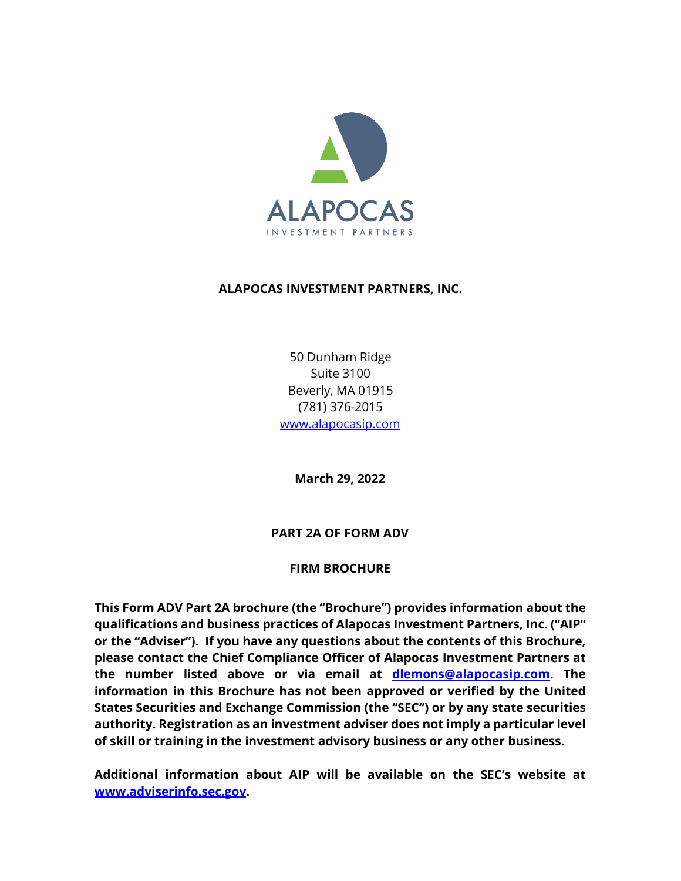

### **ALAPOCAS INVESTMENT PARTNERS, INC.**

50 Dunham Ridge Suite 3100 Beverly, MA 01915 (781) 376-2015 [www.alapocasip.com](http://www.alapocasip.com/) 

**March 29, 2022**

### **PART 2A OF FORM ADV**

### **FIRM BROCHURE**

**This Form ADV Part 2A brochure (the "Brochure") provides information about the qualifications and business practices of Alapocas Investment Partners, Inc. ("AIP" or the "Adviser"). If you have any questions about the contents of this Brochure, please contact the Chief Compliance Officer of Alapocas Investment Partners at the number listed above or via email at dlemons@alapocasip.com. The information in this Brochure has not been approved or verified by the United States Securities and Exchange Commission (the "SEC") or by any state securities authority. Registration as an investment adviser does not imply a particular level of skill or training in the investment advisory business or any other business.**

**Additional information about AIP will be available on the SEC's website at [www.adviserinfo.sec.gov.](http://www.adviserinfo.sec.gov/)**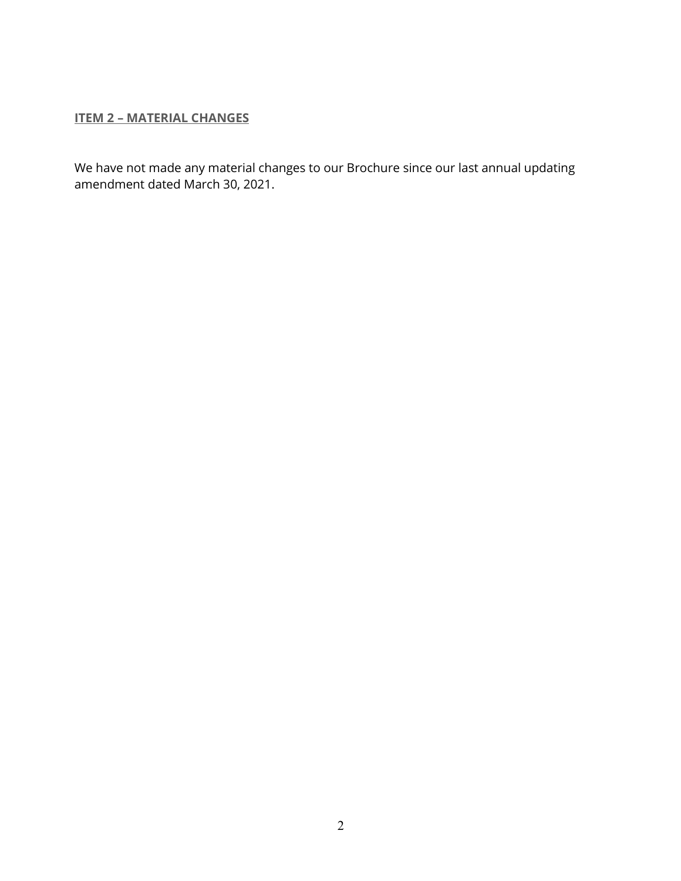## <span id="page-1-0"></span>**ITEM 2 – MATERIAL CHANGES**

We have not made any material changes to our Brochure since our last annual updating amendment dated March 30, 2021.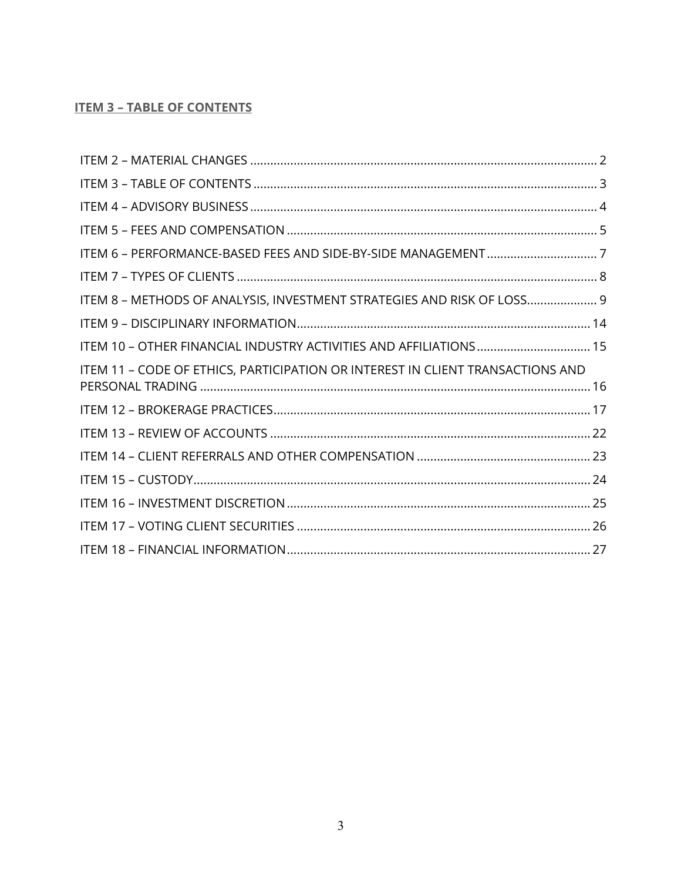# <span id="page-2-0"></span>**ITEM 3 - TABLE OF CONTENTS**

| ITEM 8 - METHODS OF ANALYSIS, INVESTMENT STRATEGIES AND RISK OF LOSS 9         |
|--------------------------------------------------------------------------------|
|                                                                                |
| ITEM 10 - OTHER FINANCIAL INDUSTRY ACTIVITIES AND AFFILIATIONS 15              |
| ITEM 11 - CODE OF ETHICS, PARTICIPATION OR INTEREST IN CLIENT TRANSACTIONS AND |
|                                                                                |
|                                                                                |
|                                                                                |
|                                                                                |
|                                                                                |
|                                                                                |
|                                                                                |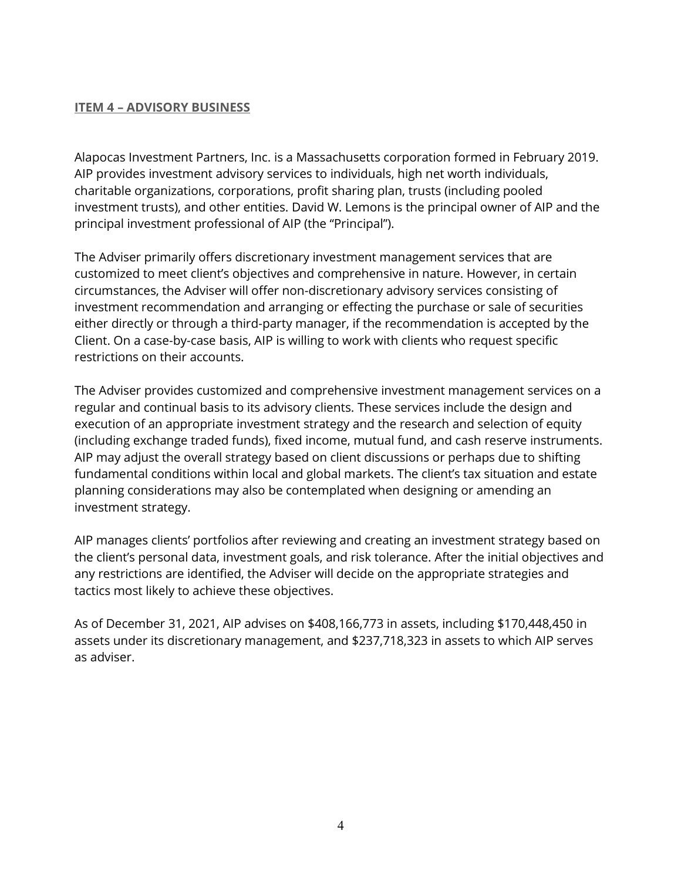### <span id="page-3-0"></span>**ITEM 4 – ADVISORY BUSINESS**

Alapocas Investment Partners, Inc. is a Massachusetts corporation formed in February 2019. AIP provides investment advisory services to individuals, high net worth individuals, charitable organizations, corporations, profit sharing plan, trusts (including pooled investment trusts), and other entities. David W. Lemons is the principal owner of AIP and the principal investment professional of AIP (the "Principal").

The Adviser primarily offers discretionary investment management services that are customized to meet client's objectives and comprehensive in nature. However, in certain circumstances, the Adviser will offer non-discretionary advisory services consisting of investment recommendation and arranging or effecting the purchase or sale of securities either directly or through a third-party manager, if the recommendation is accepted by the Client. On a case-by-case basis, AIP is willing to work with clients who request specific restrictions on their accounts.

The Adviser provides customized and comprehensive investment management services on a regular and continual basis to its advisory clients. These services include the design and execution of an appropriate investment strategy and the research and selection of equity (including exchange traded funds), fixed income, mutual fund, and cash reserve instruments. AIP may adjust the overall strategy based on client discussions or perhaps due to shifting fundamental conditions within local and global markets. The client's tax situation and estate planning considerations may also be contemplated when designing or amending an investment strategy.

AIP manages clients' portfolios after reviewing and creating an investment strategy based on the client's personal data, investment goals, and risk tolerance. After the initial objectives and any restrictions are identified, the Adviser will decide on the appropriate strategies and tactics most likely to achieve these objectives.

As of December 31, 2021, AIP advises on \$408,166,773 in assets, including \$170,448,450 in assets under its discretionary management, and \$237,718,323 in assets to which AIP serves as adviser.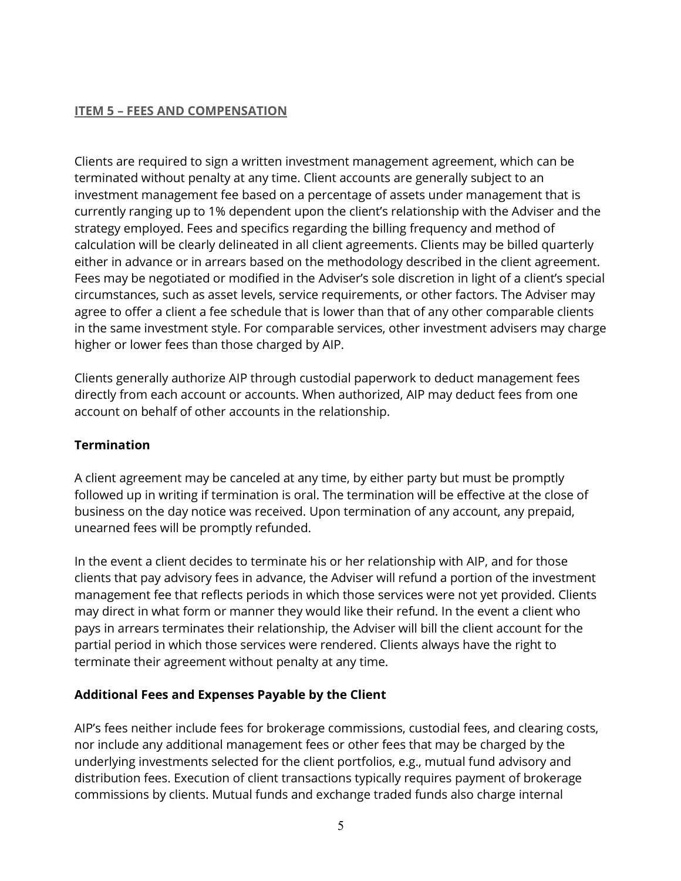### <span id="page-4-0"></span>**ITEM 5 – FEES AND COMPENSATION**

Clients are required to sign a written investment management agreement, which can be terminated without penalty at any time. Client accounts are generally subject to an investment management fee based on a percentage of assets under management that is currently ranging up to 1% dependent upon the client's relationship with the Adviser and the strategy employed. Fees and specifics regarding the billing frequency and method of calculation will be clearly delineated in all client agreements. Clients may be billed quarterly either in advance or in arrears based on the methodology described in the client agreement. Fees may be negotiated or modified in the Adviser's sole discretion in light of a client's special circumstances, such as asset levels, service requirements, or other factors. The Adviser may agree to offer a client a fee schedule that is lower than that of any other comparable clients in the same investment style. For comparable services, other investment advisers may charge higher or lower fees than those charged by AIP.

Clients generally authorize AIP through custodial paperwork to deduct management fees directly from each account or accounts. When authorized, AIP may deduct fees from one account on behalf of other accounts in the relationship.

## **Termination**

A client agreement may be canceled at any time, by either party but must be promptly followed up in writing if termination is oral. The termination will be effective at the close of business on the day notice was received. Upon termination of any account, any prepaid, unearned fees will be promptly refunded.

In the event a client decides to terminate his or her relationship with AIP, and for those clients that pay advisory fees in advance, the Adviser will refund a portion of the investment management fee that reflects periods in which those services were not yet provided. Clients may direct in what form or manner they would like their refund. In the event a client who pays in arrears terminates their relationship, the Adviser will bill the client account for the partial period in which those services were rendered. Clients always have the right to terminate their agreement without penalty at any time.

## **Additional Fees and Expenses Payable by the Client**

AIP's fees neither include fees for brokerage commissions, custodial fees, and clearing costs, nor include any additional management fees or other fees that may be charged by the underlying investments selected for the client portfolios, e.g., mutual fund advisory and distribution fees. Execution of client transactions typically requires payment of brokerage commissions by clients. Mutual funds and exchange traded funds also charge internal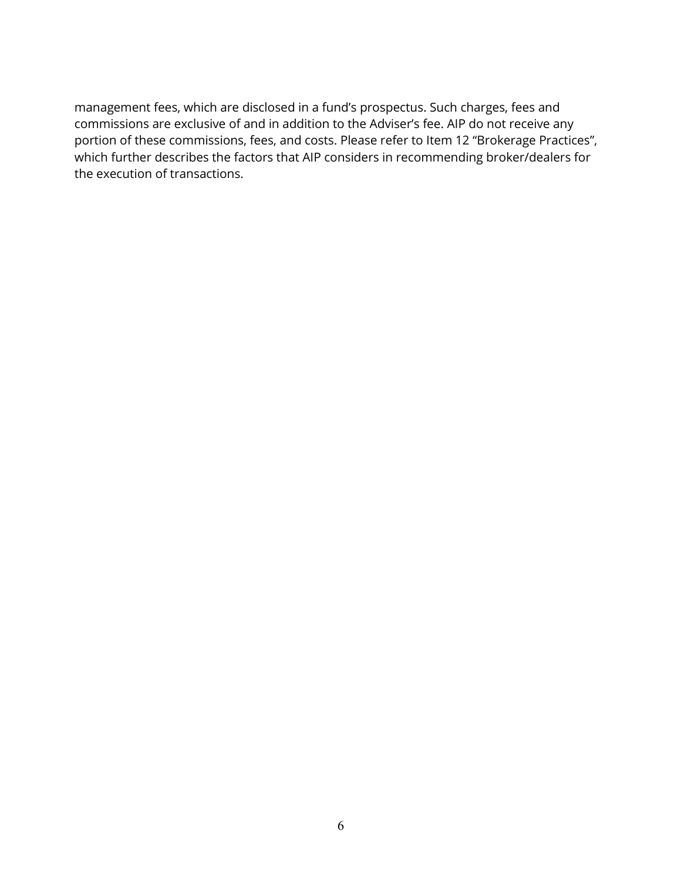management fees, which are disclosed in a fund's prospectus. Such charges, fees and commissions are exclusive of and in addition to the Adviser's fee. AIP do not receive any portion of these commissions, fees, and costs. Please refer to Item 12 "Brokerage Practices", which further describes the factors that AIP considers in recommending broker/dealers for the execution of transactions.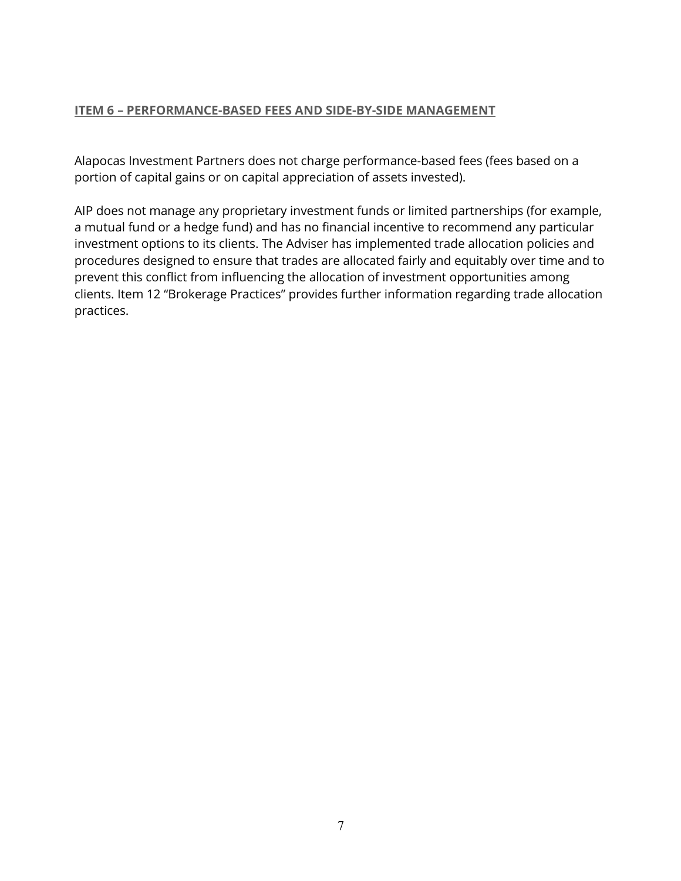#### <span id="page-6-0"></span>**ITEM 6 – PERFORMANCE-BASED FEES AND SIDE-BY-SIDE MANAGEMENT**

Alapocas Investment Partners does not charge performance-based fees (fees based on a portion of capital gains or on capital appreciation of assets invested).

AIP does not manage any proprietary investment funds or limited partnerships (for example, a mutual fund or a hedge fund) and has no financial incentive to recommend any particular investment options to its clients. The Adviser has implemented trade allocation policies and procedures designed to ensure that trades are allocated fairly and equitably over time and to prevent this conflict from influencing the allocation of investment opportunities among clients. Item 12 "Brokerage Practices" provides further information regarding trade allocation practices.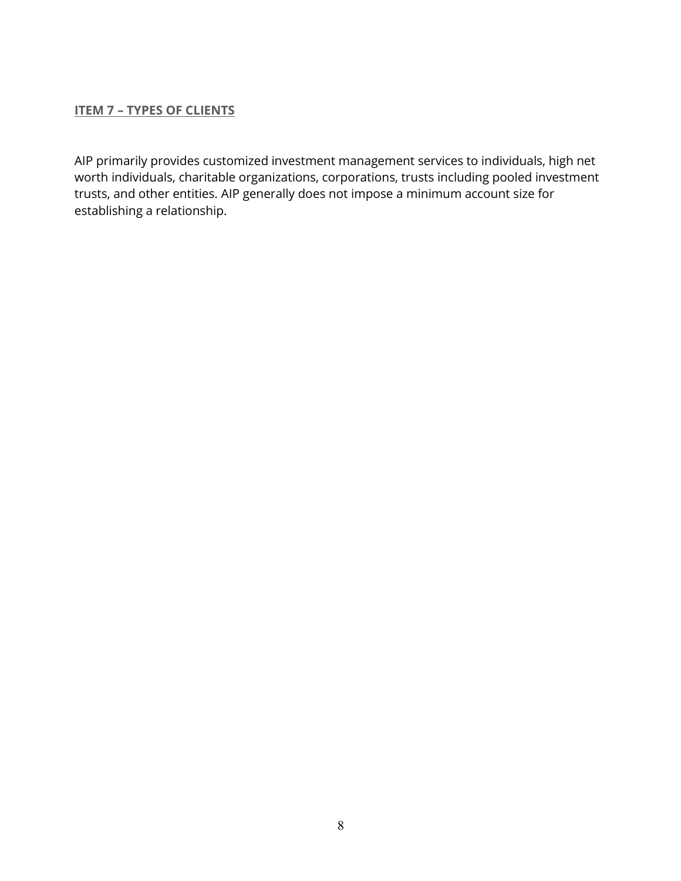#### <span id="page-7-0"></span>**ITEM 7 – TYPES OF CLIENTS**

AIP primarily provides customized investment management services to individuals, high net worth individuals, charitable organizations, corporations, trusts including pooled investment trusts, and other entities. AIP generally does not impose a minimum account size for establishing a relationship.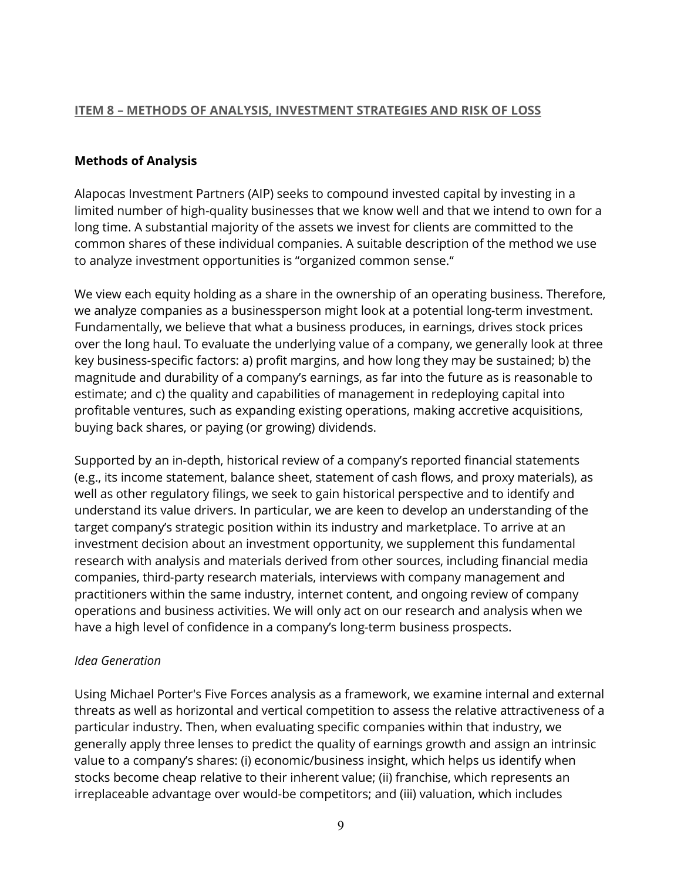### <span id="page-8-0"></span>**ITEM 8 – METHODS OF ANALYSIS, INVESTMENT STRATEGIES AND RISK OF LOSS**

### **Methods of Analysis**

Alapocas Investment Partners (AIP) seeks to compound invested capital by investing in a limited number of high-quality businesses that we know well and that we intend to own for a long time. A substantial majority of the assets we invest for clients are committed to the common shares of these individual companies. A suitable description of the method we use to analyze investment opportunities is "organized common sense."

We view each equity holding as a share in the ownership of an operating business. Therefore, we analyze companies as a businessperson might look at a potential long-term investment. Fundamentally, we believe that what a business produces, in earnings, drives stock prices over the long haul. To evaluate the underlying value of a company, we generally look at three key business-specific factors: a) profit margins, and how long they may be sustained; b) the magnitude and durability of a company's earnings, as far into the future as is reasonable to estimate; and c) the quality and capabilities of management in redeploying capital into profitable ventures, such as expanding existing operations, making accretive acquisitions, buying back shares, or paying (or growing) dividends.

Supported by an in-depth, historical review of a company's reported financial statements (e.g., its income statement, balance sheet, statement of cash flows, and proxy materials), as well as other regulatory filings, we seek to gain historical perspective and to identify and understand its value drivers. In particular, we are keen to develop an understanding of the target company's strategic position within its industry and marketplace. To arrive at an investment decision about an investment opportunity, we supplement this fundamental research with analysis and materials derived from other sources, including financial media companies, third-party research materials, interviews with company management and practitioners within the same industry, internet content, and ongoing review of company operations and business activities. We will only act on our research and analysis when we have a high level of confidence in a company's long-term business prospects.

### *Idea Generation*

Using Michael Porter's Five Forces analysis as a framework, we examine internal and external threats as well as horizontal and vertical competition to assess the relative attractiveness of a particular industry. Then, when evaluating specific companies within that industry, we generally apply three lenses to predict the quality of earnings growth and assign an intrinsic value to a company's shares: (i) economic/business insight, which helps us identify when stocks become cheap relative to their inherent value; (ii) franchise, which represents an irreplaceable advantage over would-be competitors; and (iii) valuation, which includes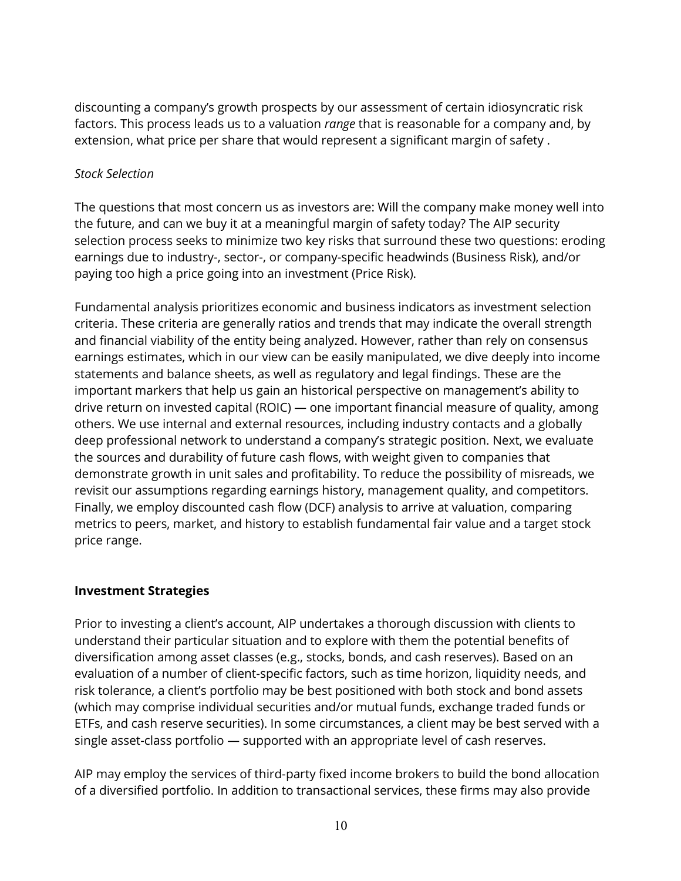discounting a company's growth prospects by our assessment of certain idiosyncratic risk factors. This process leads us to a valuation *range* that is reasonable for a company and, by extension, what price per share that would represent a significant margin of safety .

## *Stock Selection*

The questions that most concern us as investors are: Will the company make money well into the future, and can we buy it at a meaningful margin of safety today? The AIP security selection process seeks to minimize two key risks that surround these two questions: eroding earnings due to industry-, sector-, or company-specific headwinds (Business Risk), and/or paying too high a price going into an investment (Price Risk).

Fundamental analysis prioritizes economic and business indicators as investment selection criteria. These criteria are generally ratios and trends that may indicate the overall strength and financial viability of the entity being analyzed. However, rather than rely on consensus earnings estimates, which in our view can be easily manipulated, we dive deeply into income statements and balance sheets, as well as regulatory and legal findings. These are the important markers that help us gain an historical perspective on management's ability to drive return on invested capital (ROIC) — one important financial measure of quality, among others. We use internal and external resources, including industry contacts and a globally deep professional network to understand a company's strategic position. Next, we evaluate the sources and durability of future cash flows, with weight given to companies that demonstrate growth in unit sales and profitability. To reduce the possibility of misreads, we revisit our assumptions regarding earnings history, management quality, and competitors. Finally, we employ discounted cash flow (DCF) analysis to arrive at valuation, comparing metrics to peers, market, and history to establish fundamental fair value and a target stock price range.

## **Investment Strategies**

Prior to investing a client's account, AIP undertakes a thorough discussion with clients to understand their particular situation and to explore with them the potential benefits of diversification among asset classes (e.g., stocks, bonds, and cash reserves). Based on an evaluation of a number of client-specific factors, such as time horizon, liquidity needs, and risk tolerance, a client's portfolio may be best positioned with both stock and bond assets (which may comprise individual securities and/or mutual funds, exchange traded funds or ETFs, and cash reserve securities). In some circumstances, a client may be best served with a single asset-class portfolio — supported with an appropriate level of cash reserves.

AIP may employ the services of third-party fixed income brokers to build the bond allocation of a diversified portfolio. In addition to transactional services, these firms may also provide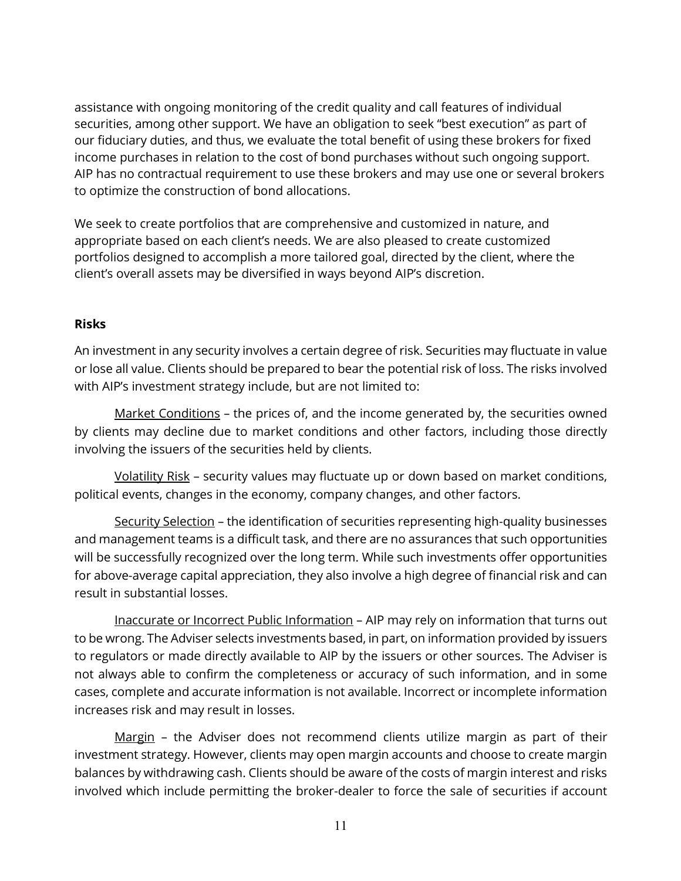assistance with ongoing monitoring of the credit quality and call features of individual securities, among other support. We have an obligation to seek "best execution" as part of our fiduciary duties, and thus, we evaluate the total benefit of using these brokers for fixed income purchases in relation to the cost of bond purchases without such ongoing support. AIP has no contractual requirement to use these brokers and may use one or several brokers to optimize the construction of bond allocations.

We seek to create portfolios that are comprehensive and customized in nature, and appropriate based on each client's needs. We are also pleased to create customized portfolios designed to accomplish a more tailored goal, directed by the client, where the client's overall assets may be diversified in ways beyond AIP's discretion.

### **Risks**

An investment in any security involves a certain degree of risk. Securities may fluctuate in value or lose all value. Clients should be prepared to bear the potential risk of loss. The risks involved with AIP's investment strategy include, but are not limited to:

Market Conditions – the prices of, and the income generated by, the securities owned by clients may decline due to market conditions and other factors, including those directly involving the issuers of the securities held by clients.

Volatility Risk – security values may fluctuate up or down based on market conditions, political events, changes in the economy, company changes, and other factors.

Security Selection – the identification of securities representing high-quality businesses and management teams is a difficult task, and there are no assurances that such opportunities will be successfully recognized over the long term. While such investments offer opportunities for above-average capital appreciation, they also involve a high degree of financial risk and can result in substantial losses.

Inaccurate or Incorrect Public Information – AIP may rely on information that turns out to be wrong. The Adviser selects investments based, in part, on information provided by issuers to regulators or made directly available to AIP by the issuers or other sources. The Adviser is not always able to confirm the completeness or accuracy of such information, and in some cases, complete and accurate information is not available. Incorrect or incomplete information increases risk and may result in losses.

Margin – the Adviser does not recommend clients utilize margin as part of their investment strategy. However, clients may open margin accounts and choose to create margin balances by withdrawing cash. Clients should be aware of the costs of margin interest and risks involved which include permitting the broker-dealer to force the sale of securities if account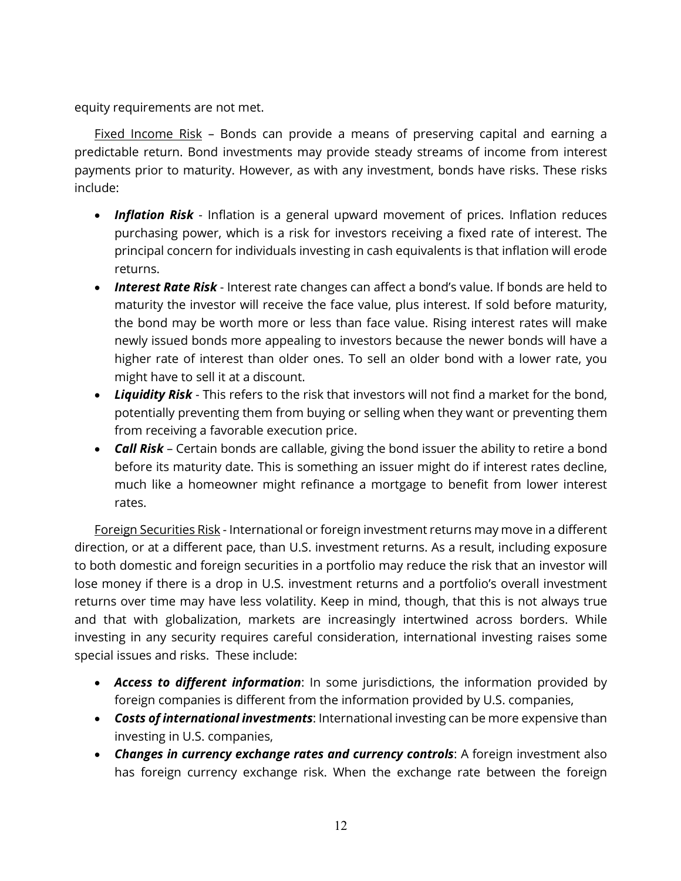equity requirements are not met.

Fixed Income Risk – Bonds can provide a means of preserving capital and earning a predictable return. Bond investments may provide steady streams of income from interest payments prior to maturity. However, as with any investment, bonds have risks. These risks include:

- *Inflation Risk* Inflation is a general upward movement of prices. Inflation reduces purchasing power, which is a risk for investors receiving a fixed rate of interest. The principal concern for individuals investing in cash equivalents is that inflation will erode returns.
- *Interest Rate Risk* Interest rate changes can affect a bond's value. If bonds are held to maturity the investor will receive the face value, plus interest. If sold before maturity, the bond may be worth more or less than face value. Rising interest rates will make newly issued bonds more appealing to investors because the newer bonds will have a higher rate of interest than older ones. To sell an older bond with a lower rate, you might have to sell it at a discount.
- *Liquidity Risk* This refers to the risk that investors will not find a market for the bond, potentially preventing them from buying or selling when they want or preventing them from receiving a favorable execution price.
- *Call Risk* Certain bonds are callable, giving the bond issuer the ability to retire a bond before its maturity date. This is something an issuer might do if interest rates decline, much like a homeowner might refinance a mortgage to benefit from lower interest rates.

Foreign Securities Risk - International or foreign investment returns may move in a different direction, or at a different pace, than U.S. investment returns. As a result, including exposure to both domestic and foreign securities in a portfolio may reduce the risk that an investor will lose money if there is a drop in U.S. investment returns and a portfolio's overall investment returns over time may have less volatility. Keep in mind, though, that this is not always true and that with globalization, markets are increasingly intertwined across borders. While investing in any security requires careful consideration, international investing raises some special issues and risks. These include:

- *Access to different information*: In some jurisdictions, the information provided by foreign companies is different from the information provided by U.S. companies,
- *Costs of international investments*: International investing can be more expensive than investing in U.S. companies,
- *Changes in currency exchange rates and currency controls*: A foreign investment also has foreign currency exchange risk. When the exchange rate between the foreign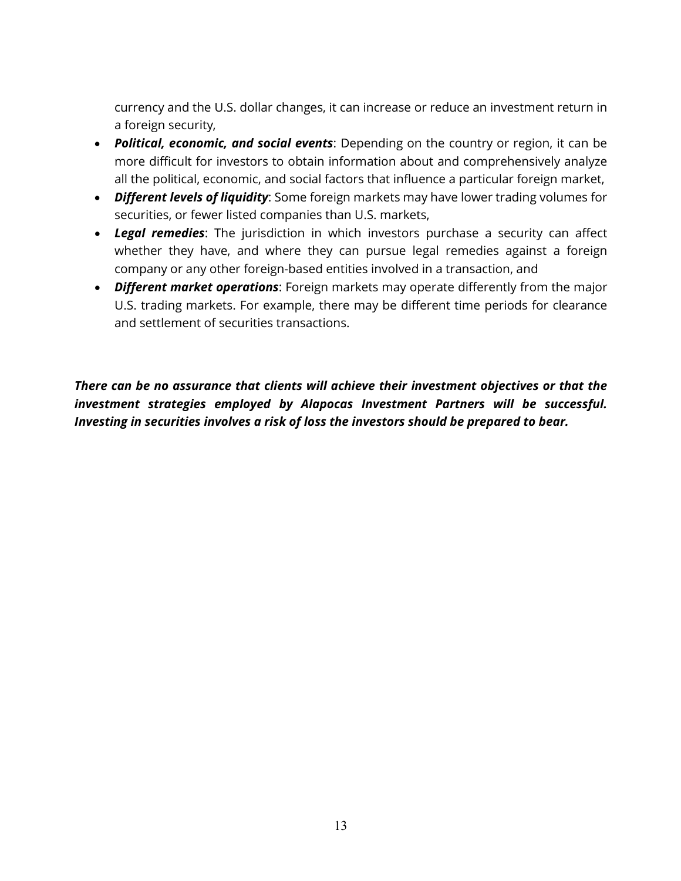currency and the U.S. dollar changes, it can increase or reduce an investment return in a foreign security,

- *Political, economic, and social events*: Depending on the country or region, it can be more difficult for investors to obtain information about and comprehensively analyze all the political, economic, and social factors that influence a particular foreign market,
- *Different levels of liquidity*: Some foreign markets may have lower trading volumes for securities, or fewer listed companies than U.S. markets,
- *Legal remedies*: The jurisdiction in which investors purchase a security can affect whether they have, and where they can pursue legal remedies against a foreign company or any other foreign-based entities involved in a transaction, and
- *Different market operations*: Foreign markets may operate differently from the major U.S. trading markets. For example, there may be different time periods for clearance and settlement of securities transactions.

*There can be no assurance that clients will achieve their investment objectives or that the investment strategies employed by Alapocas Investment Partners will be successful. Investing in securities involves a risk of loss the investors should be prepared to bear.*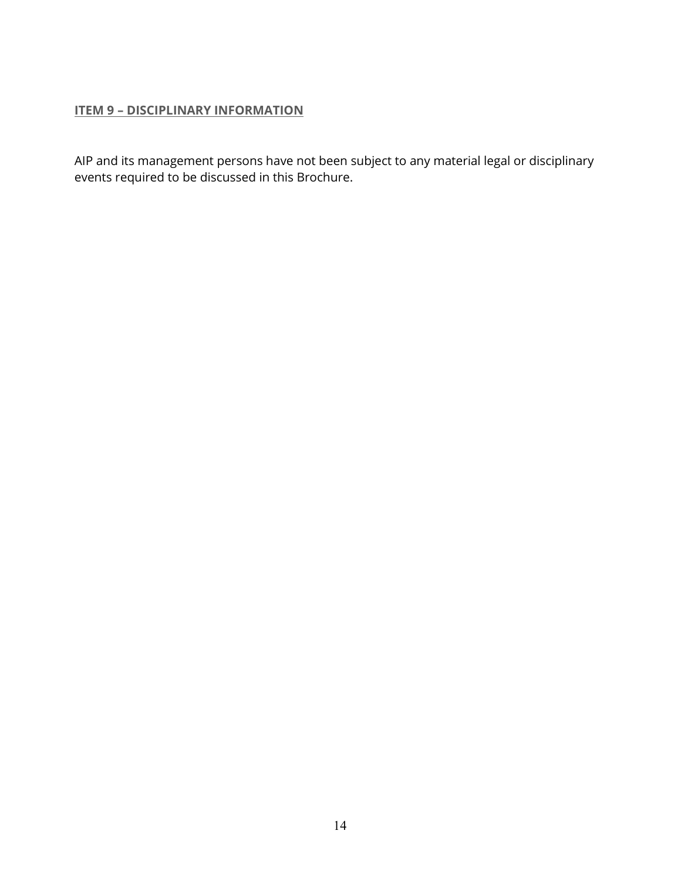### <span id="page-13-0"></span>**ITEM 9 – DISCIPLINARY INFORMATION**

AIP and its management persons have not been subject to any material legal or disciplinary events required to be discussed in this Brochure.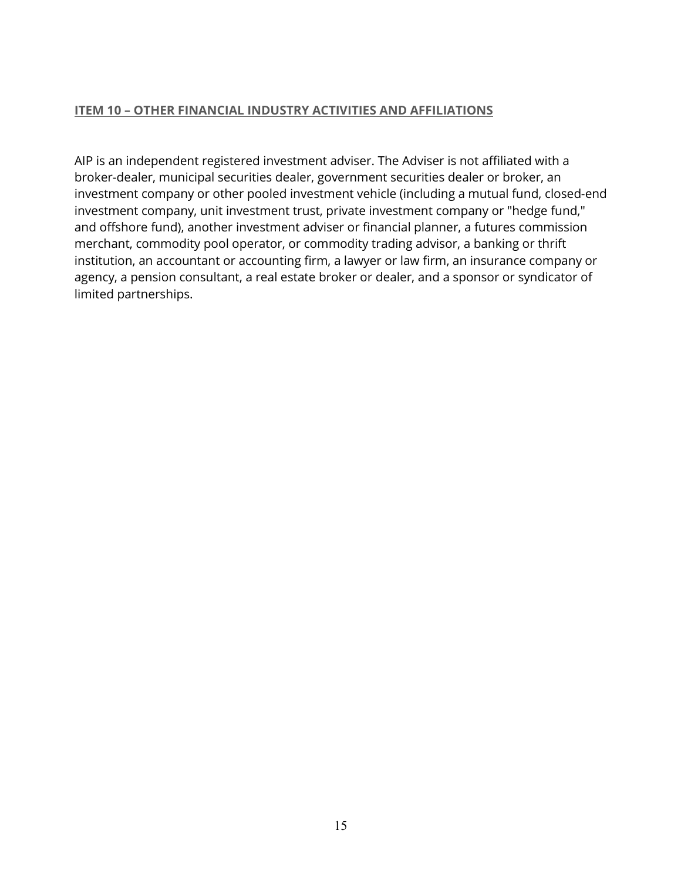#### <span id="page-14-0"></span>**ITEM 10 – OTHER FINANCIAL INDUSTRY ACTIVITIES AND AFFILIATIONS**

AIP is an independent registered investment adviser. The Adviser is not affiliated with a broker-dealer, municipal securities dealer, government securities dealer or broker, an investment company or other pooled investment vehicle (including a mutual fund, closed-end investment company, unit investment trust, private investment company or "hedge fund," and offshore fund), another investment adviser or financial planner, a futures commission merchant, commodity pool operator, or commodity trading advisor, a banking or thrift institution, an accountant or accounting firm, a lawyer or law firm, an insurance company or agency, a pension consultant, a real estate broker or dealer, and a sponsor or syndicator of limited partnerships.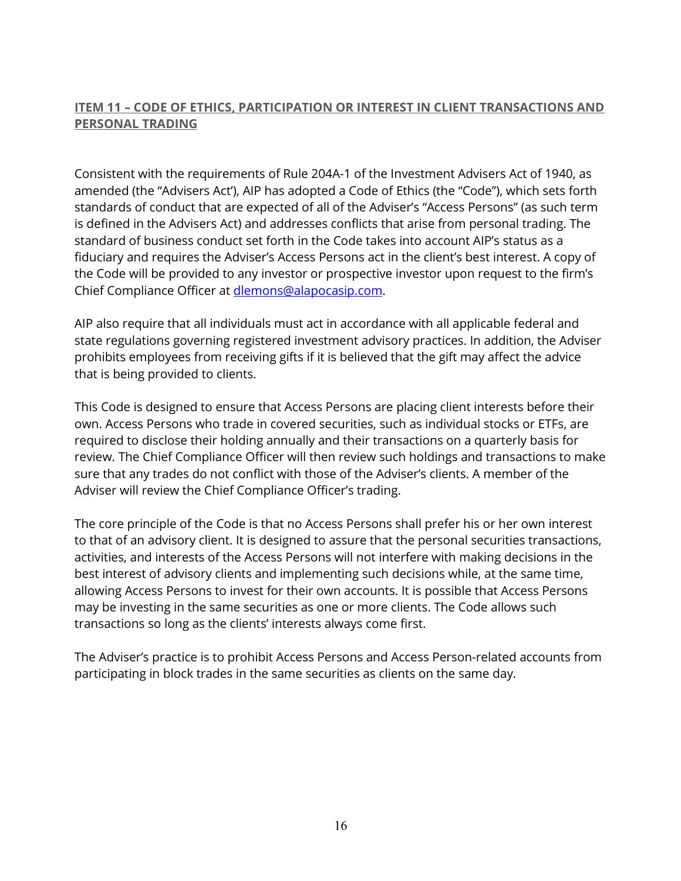# <span id="page-15-0"></span>**ITEM 11 – CODE OF ETHICS, PARTICIPATION OR INTEREST IN CLIENT TRANSACTIONS AND PERSONAL TRADING**

Consistent with the requirements of Rule 204A-1 of the Investment Advisers Act of 1940, as amended (the "Advisers Act'), AIP has adopted a Code of Ethics (the "Code"), which sets forth standards of conduct that are expected of all of the Adviser's "Access Persons" (as such term is defined in the Advisers Act) and addresses conflicts that arise from personal trading. The standard of business conduct set forth in the Code takes into account AIP's status as a fiduciary and requires the Adviser's Access Persons act in the client's best interest. A copy of the Code will be provided to any investor or prospective investor upon request to the firm's Chief Compliance Officer at dlemons@alapocasip.com.

AIP also require that all individuals must act in accordance with all applicable federal and state regulations governing registered investment advisory practices. In addition, the Adviser prohibits employees from receiving gifts if it is believed that the gift may affect the advice that is being provided to clients.

This Code is designed to ensure that Access Persons are placing client interests before their own. Access Persons who trade in covered securities, such as individual stocks or ETFs, are required to disclose their holding annually and their transactions on a quarterly basis for review. The Chief Compliance Officer will then review such holdings and transactions to make sure that any trades do not conflict with those of the Adviser's clients. A member of the Adviser will review the Chief Compliance Officer's trading.

The core principle of the Code is that no Access Persons shall prefer his or her own interest to that of an advisory client. It is designed to assure that the personal securities transactions, activities, and interests of the Access Persons will not interfere with making decisions in the best interest of advisory clients and implementing such decisions while, at the same time, allowing Access Persons to invest for their own accounts. It is possible that Access Persons may be investing in the same securities as one or more clients. The Code allows such transactions so long as the clients' interests always come first.

The Adviser's practice is to prohibit Access Persons and Access Person-related accounts from participating in block trades in the same securities as clients on the same day.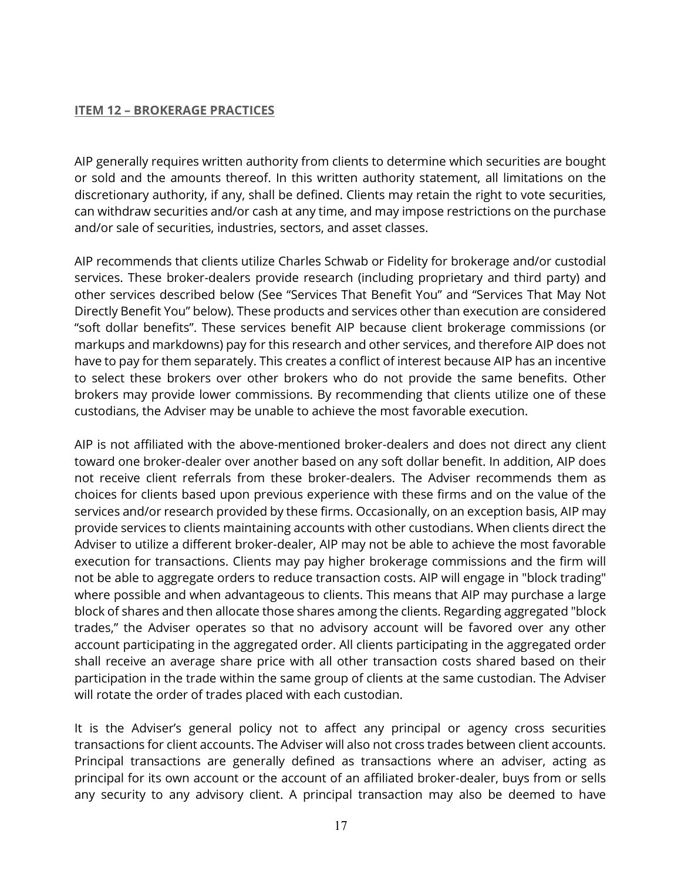#### <span id="page-16-0"></span>**ITEM 12 – BROKERAGE PRACTICES**

AIP generally requires written authority from clients to determine which securities are bought or sold and the amounts thereof. In this written authority statement, all limitations on the discretionary authority, if any, shall be defined. Clients may retain the right to vote securities, can withdraw securities and/or cash at any time, and may impose restrictions on the purchase and/or sale of securities, industries, sectors, and asset classes.

AIP recommends that clients utilize Charles Schwab or Fidelity for brokerage and/or custodial services. These broker-dealers provide research (including proprietary and third party) and other services described below (See "Services That Benefit You" and "Services That May Not Directly Benefit You" below). These products and services other than execution are considered "soft dollar benefits". These services benefit AIP because client brokerage commissions (or markups and markdowns) pay for this research and other services, and therefore AIP does not have to pay for them separately. This creates a conflict of interest because AIP has an incentive to select these brokers over other brokers who do not provide the same benefits. Other brokers may provide lower commissions. By recommending that clients utilize one of these custodians, the Adviser may be unable to achieve the most favorable execution.

AIP is not affiliated with the above-mentioned broker-dealers and does not direct any client toward one broker-dealer over another based on any soft dollar benefit. In addition, AIP does not receive client referrals from these broker-dealers. The Adviser recommends them as choices for clients based upon previous experience with these firms and on the value of the services and/or research provided by these firms. Occasionally, on an exception basis, AIP may provide services to clients maintaining accounts with other custodians. When clients direct the Adviser to utilize a different broker-dealer, AIP may not be able to achieve the most favorable execution for transactions. Clients may pay higher brokerage commissions and the firm will not be able to aggregate orders to reduce transaction costs. AIP will engage in "block trading" where possible and when advantageous to clients. This means that AIP may purchase a large block of shares and then allocate those shares among the clients. Regarding aggregated "block trades," the Adviser operates so that no advisory account will be favored over any other account participating in the aggregated order. All clients participating in the aggregated order shall receive an average share price with all other transaction costs shared based on their participation in the trade within the same group of clients at the same custodian. The Adviser will rotate the order of trades placed with each custodian.

It is the Adviser's general policy not to affect any principal or agency cross securities transactions for client accounts. The Adviser will also not cross trades between client accounts. Principal transactions are generally defined as transactions where an adviser, acting as principal for its own account or the account of an affiliated broker-dealer, buys from or sells any security to any advisory client. A principal transaction may also be deemed to have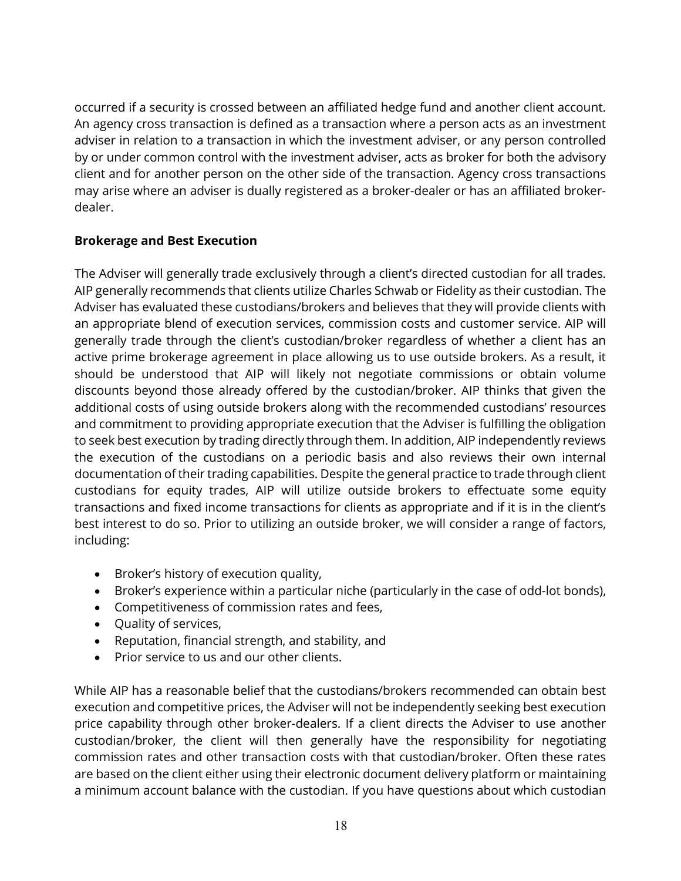occurred if a security is crossed between an affiliated hedge fund and another client account. An agency cross transaction is defined as a transaction where a person acts as an investment adviser in relation to a transaction in which the investment adviser, or any person controlled by or under common control with the investment adviser, acts as broker for both the advisory client and for another person on the other side of the transaction. Agency cross transactions may arise where an adviser is dually registered as a broker-dealer or has an affiliated brokerdealer.

## **Brokerage and Best Execution**

The Adviser will generally trade exclusively through a client's directed custodian for all trades. AIP generally recommends that clients utilize Charles Schwab or Fidelity as their custodian. The Adviser has evaluated these custodians/brokers and believes that they will provide clients with an appropriate blend of execution services, commission costs and customer service. AIP will generally trade through the client's custodian/broker regardless of whether a client has an active prime brokerage agreement in place allowing us to use outside brokers. As a result, it should be understood that AIP will likely not negotiate commissions or obtain volume discounts beyond those already offered by the custodian/broker. AIP thinks that given the additional costs of using outside brokers along with the recommended custodians' resources and commitment to providing appropriate execution that the Adviser is fulfilling the obligation to seek best execution by trading directly through them. In addition, AIP independently reviews the execution of the custodians on a periodic basis and also reviews their own internal documentation of their trading capabilities. Despite the general practice to trade through client custodians for equity trades, AIP will utilize outside brokers to effectuate some equity transactions and fixed income transactions for clients as appropriate and if it is in the client's best interest to do so. Prior to utilizing an outside broker, we will consider a range of factors, including:

- Broker's history of execution quality,
- Broker's experience within a particular niche (particularly in the case of odd-lot bonds),
- Competitiveness of commission rates and fees,
- Quality of services,
- Reputation, financial strength, and stability, and
- Prior service to us and our other clients.

While AIP has a reasonable belief that the custodians/brokers recommended can obtain best execution and competitive prices, the Adviser will not be independently seeking best execution price capability through other broker-dealers. If a client directs the Adviser to use another custodian/broker, the client will then generally have the responsibility for negotiating commission rates and other transaction costs with that custodian/broker. Often these rates are based on the client either using their electronic document delivery platform or maintaining a minimum account balance with the custodian. If you have questions about which custodian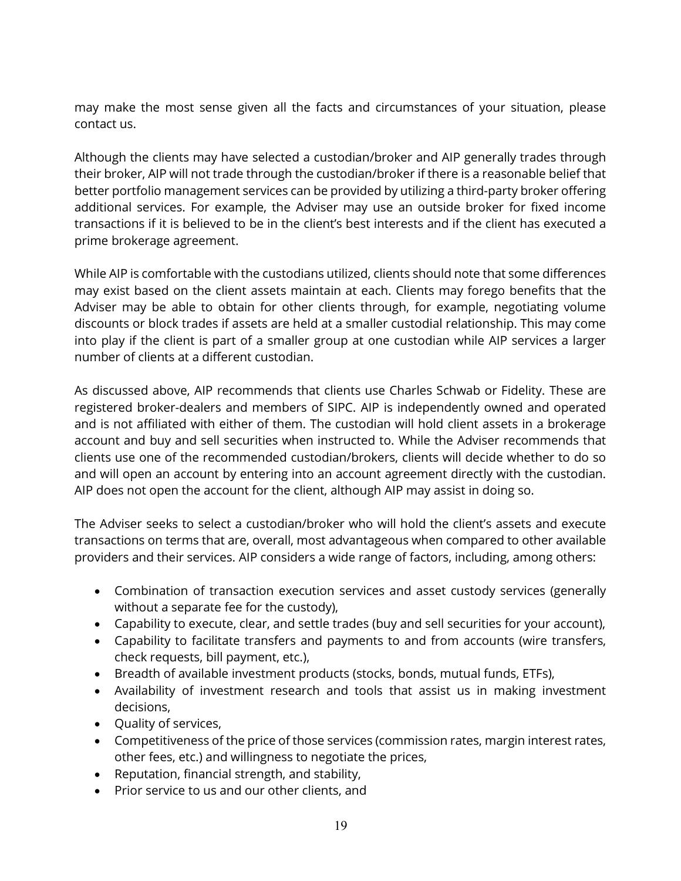may make the most sense given all the facts and circumstances of your situation, please contact us.

Although the clients may have selected a custodian/broker and AIP generally trades through their broker, AIP will not trade through the custodian/broker if there is a reasonable belief that better portfolio management services can be provided by utilizing a third-party broker offering additional services. For example, the Adviser may use an outside broker for fixed income transactions if it is believed to be in the client's best interests and if the client has executed a prime brokerage agreement.

While AIP is comfortable with the custodians utilized, clients should note that some differences may exist based on the client assets maintain at each. Clients may forego benefits that the Adviser may be able to obtain for other clients through, for example, negotiating volume discounts or block trades if assets are held at a smaller custodial relationship. This may come into play if the client is part of a smaller group at one custodian while AIP services a larger number of clients at a different custodian.

As discussed above, AIP recommends that clients use Charles Schwab or Fidelity. These are registered broker-dealers and members of SIPC. AIP is independently owned and operated and is not affiliated with either of them. The custodian will hold client assets in a brokerage account and buy and sell securities when instructed to. While the Adviser recommends that clients use one of the recommended custodian/brokers, clients will decide whether to do so and will open an account by entering into an account agreement directly with the custodian. AIP does not open the account for the client, although AIP may assist in doing so.

The Adviser seeks to select a custodian/broker who will hold the client's assets and execute transactions on terms that are, overall, most advantageous when compared to other available providers and their services. AIP considers a wide range of factors, including, among others:

- Combination of transaction execution services and asset custody services (generally without a separate fee for the custody),
- Capability to execute, clear, and settle trades (buy and sell securities for your account),
- Capability to facilitate transfers and payments to and from accounts (wire transfers, check requests, bill payment, etc.),
- Breadth of available investment products (stocks, bonds, mutual funds, ETFs),
- Availability of investment research and tools that assist us in making investment decisions,
- Quality of services,
- Competitiveness of the price of those services (commission rates, margin interest rates, other fees, etc.) and willingness to negotiate the prices,
- Reputation, financial strength, and stability,
- Prior service to us and our other clients, and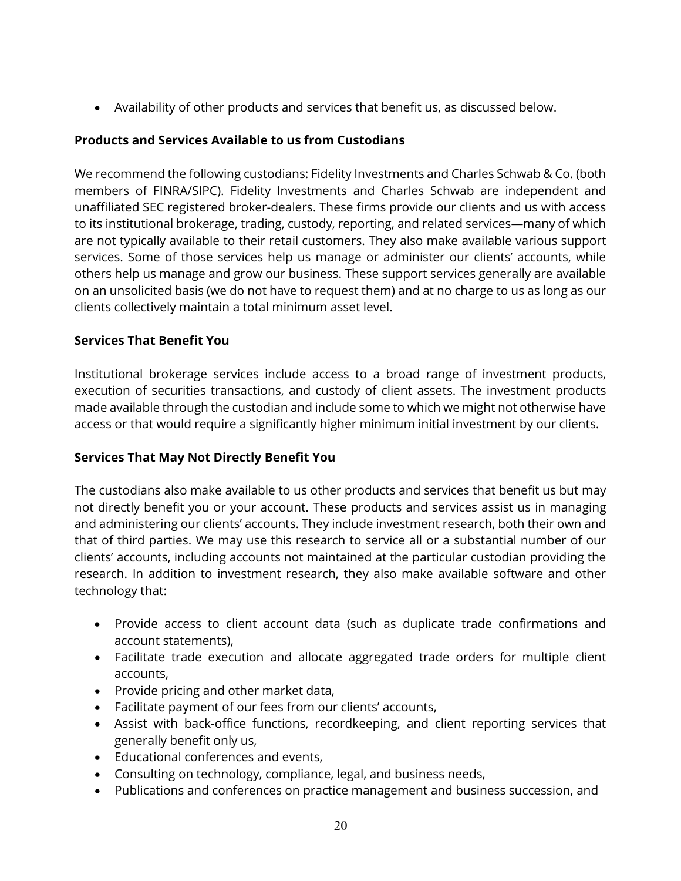• Availability of other products and services that benefit us, as discussed below.

## **Products and Services Available to us from Custodians**

We recommend the following custodians: Fidelity Investments and Charles Schwab & Co. (both members of FINRA/SIPC). Fidelity Investments and Charles Schwab are independent and unaffiliated SEC registered broker-dealers. These firms provide our clients and us with access to its institutional brokerage, trading, custody, reporting, and related services—many of which are not typically available to their retail customers. They also make available various support services. Some of those services help us manage or administer our clients' accounts, while others help us manage and grow our business. These support services generally are available on an unsolicited basis (we do not have to request them) and at no charge to us as long as our clients collectively maintain a total minimum asset level.

## **Services That Benefit You**

Institutional brokerage services include access to a broad range of investment products, execution of securities transactions, and custody of client assets. The investment products made available through the custodian and include some to which we might not otherwise have access or that would require a significantly higher minimum initial investment by our clients.

### **Services That May Not Directly Benefit You**

The custodians also make available to us other products and services that benefit us but may not directly benefit you or your account. These products and services assist us in managing and administering our clients' accounts. They include investment research, both their own and that of third parties. We may use this research to service all or a substantial number of our clients' accounts, including accounts not maintained at the particular custodian providing the research. In addition to investment research, they also make available software and other technology that:

- Provide access to client account data (such as duplicate trade confirmations and account statements),
- Facilitate trade execution and allocate aggregated trade orders for multiple client accounts,
- Provide pricing and other market data,
- Facilitate payment of our fees from our clients' accounts,
- Assist with back-office functions, recordkeeping, and client reporting services that generally benefit only us,
- Educational conferences and events,
- Consulting on technology, compliance, legal, and business needs,
- Publications and conferences on practice management and business succession, and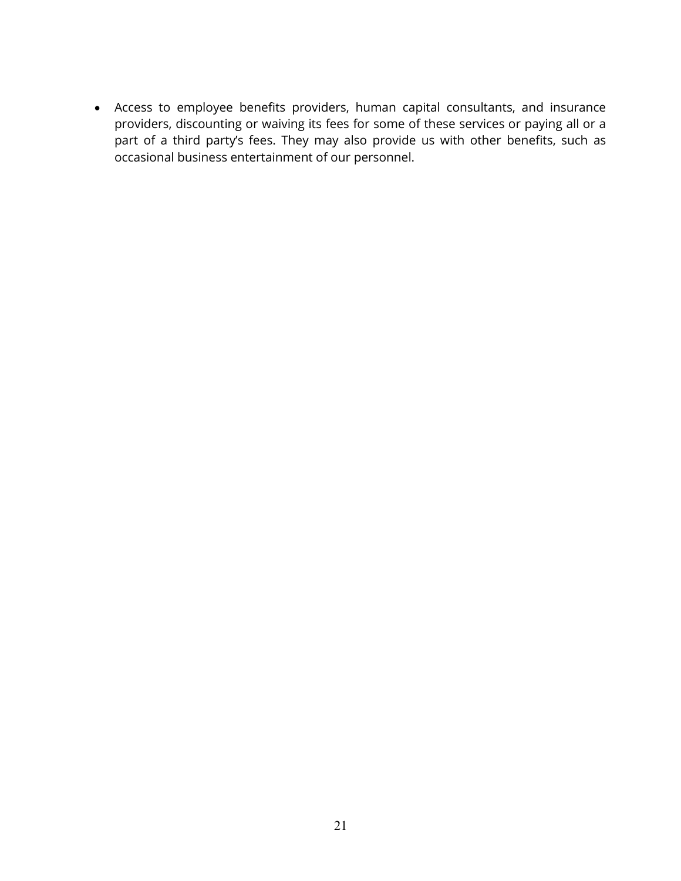• Access to employee benefits providers, human capital consultants, and insurance providers, discounting or waiving its fees for some of these services or paying all or a part of a third party's fees. They may also provide us with other benefits, such as occasional business entertainment of our personnel.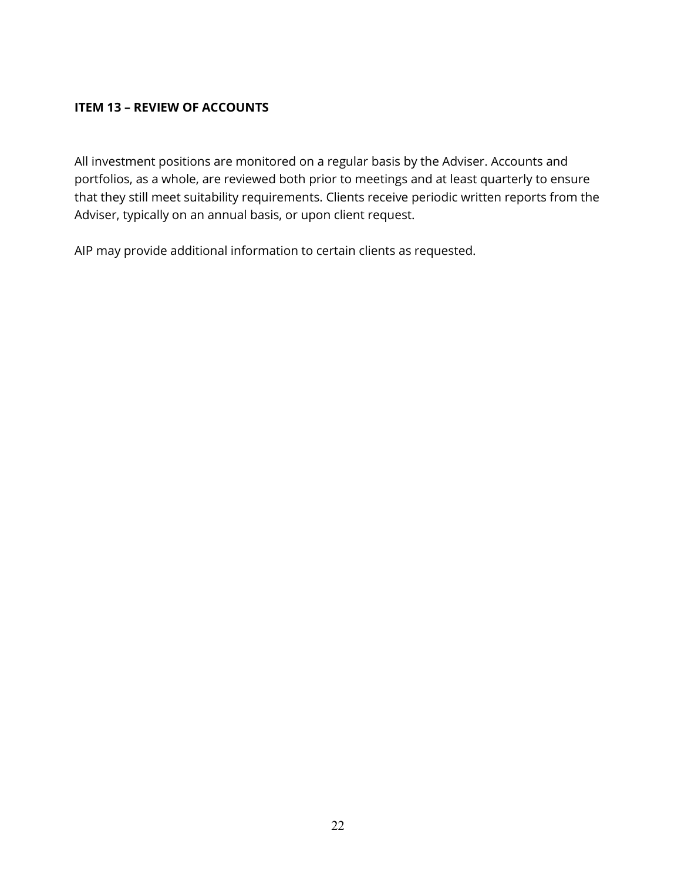## <span id="page-21-0"></span>**ITEM 13 – REVIEW OF ACCOUNTS**

All investment positions are monitored on a regular basis by the Adviser. Accounts and portfolios, as a whole, are reviewed both prior to meetings and at least quarterly to ensure that they still meet suitability requirements. Clients receive periodic written reports from the Adviser, typically on an annual basis, or upon client request.

AIP may provide additional information to certain clients as requested.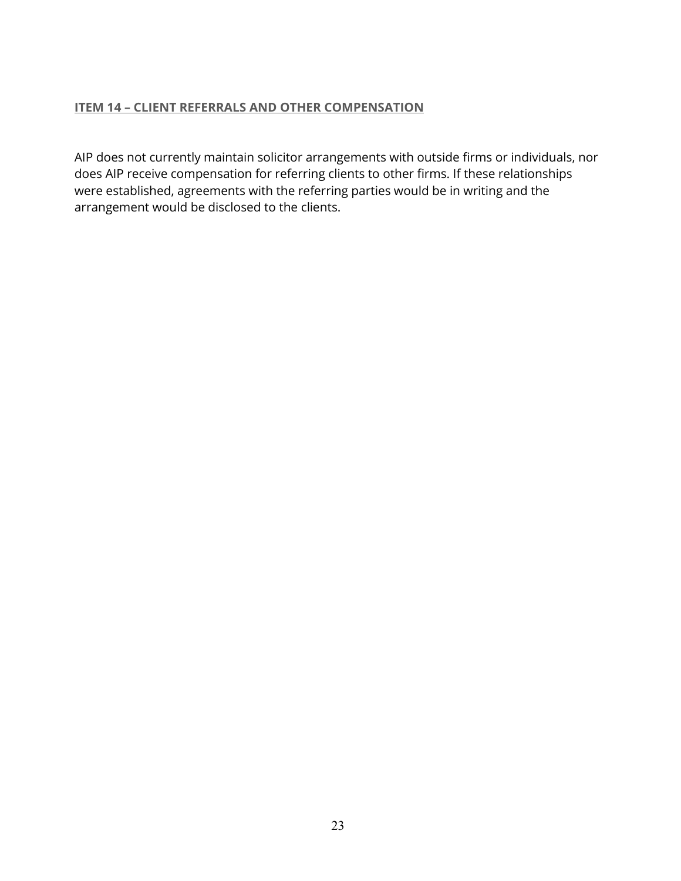## **ITEM 14 – CLIENT REFERRALS AND OTHER COMPENSATION**

AIP does not currently maintain solicitor arrangements with outside firms or individuals, nor does AIP receive compensation for referring clients to other firms. If these relationships were established, agreements with the referring parties would be in writing and the arrangement would be disclosed to the clients.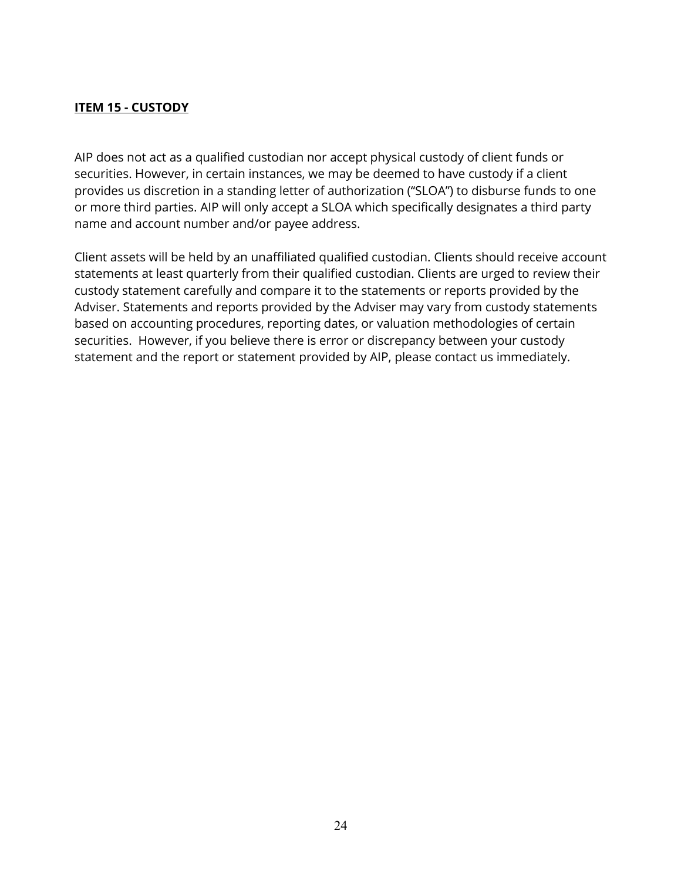## **ITEM 15 - CUSTODY**

AIP does not act as a qualified custodian nor accept physical custody of client funds or securities. However, in certain instances, we may be deemed to have custody if a client provides us discretion in a standing letter of authorization ("SLOA") to disburse funds to one or more third parties. AIP will only accept a SLOA which specifically designates a third party name and account number and/or payee address.

Client assets will be held by an unaffiliated qualified custodian. Clients should receive account statements at least quarterly from their qualified custodian. Clients are urged to review their custody statement carefully and compare it to the statements or reports provided by the Adviser. Statements and reports provided by the Adviser may vary from custody statements based on accounting procedures, reporting dates, or valuation methodologies of certain securities. However, if you believe there is error or discrepancy between your custody statement and the report or statement provided by AIP, please contact us immediately.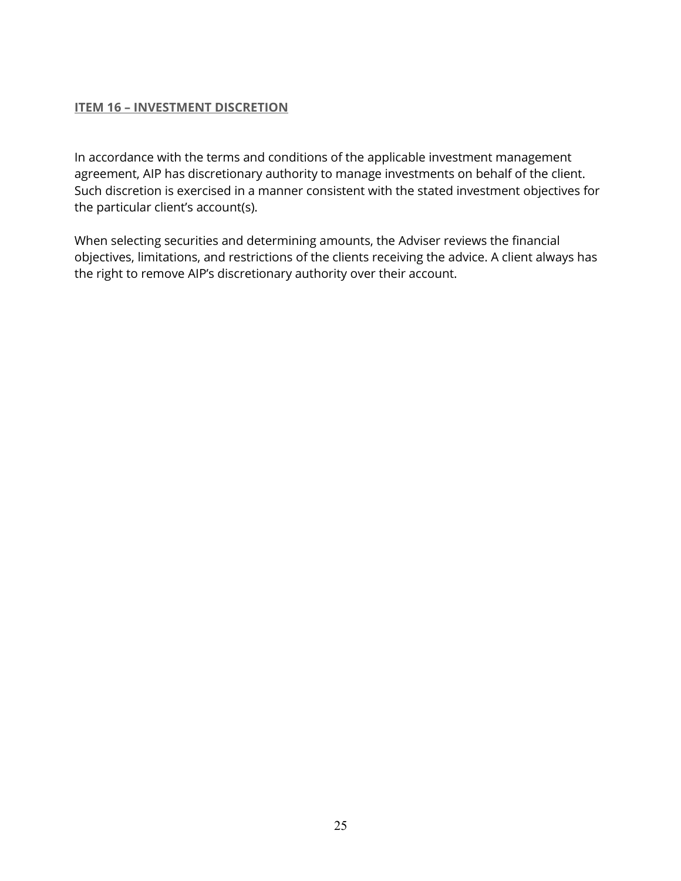## <span id="page-24-0"></span>**ITEM 16 – INVESTMENT DISCRETION**

In accordance with the terms and conditions of the applicable investment management agreement, AIP has discretionary authority to manage investments on behalf of the client. Such discretion is exercised in a manner consistent with the stated investment objectives for the particular client's account(s).

When selecting securities and determining amounts, the Adviser reviews the financial objectives, limitations, and restrictions of the clients receiving the advice. A client always has the right to remove AIP's discretionary authority over their account.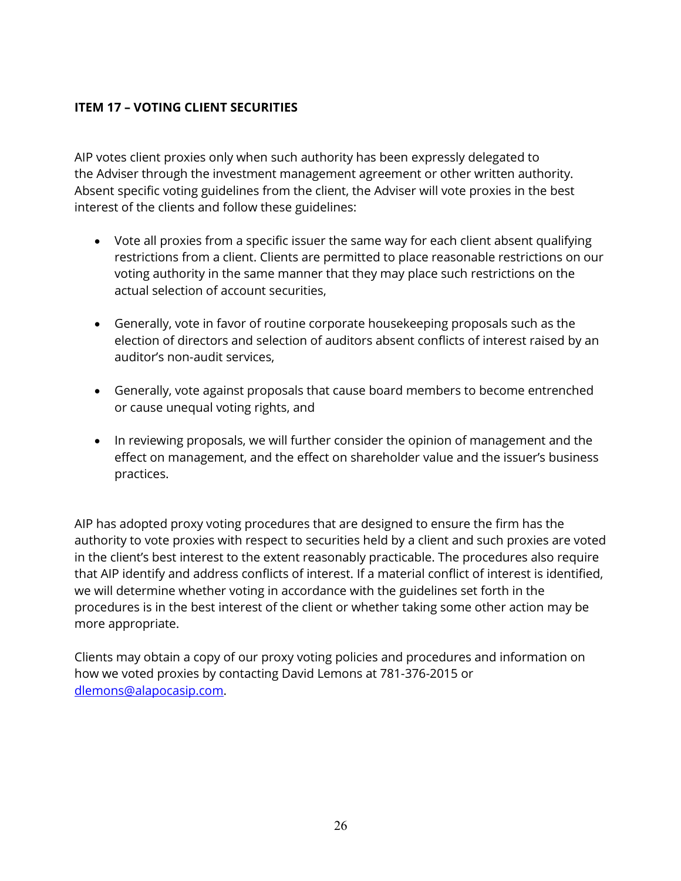# **ITEM 17 – VOTING CLIENT SECURITIES**

AIP votes client proxies only when such authority has been expressly delegated to the Adviser through the investment management agreement or other written authority. Absent specific voting guidelines from the client, the Adviser will vote proxies in the best interest of the clients and follow these guidelines:

- Vote all proxies from a specific issuer the same way for each client absent qualifying restrictions from a client. Clients are permitted to place reasonable restrictions on our voting authority in the same manner that they may place such restrictions on the actual selection of account securities,
- Generally, vote in favor of routine corporate housekeeping proposals such as the election of directors and selection of auditors absent conflicts of interest raised by an auditor's non-audit services,
- Generally, vote against proposals that cause board members to become entrenched or cause unequal voting rights, and
- In reviewing proposals, we will further consider the opinion of management and the effect on management, and the effect on shareholder value and the issuer's business practices.

AIP has adopted proxy voting procedures that are designed to ensure the firm has the authority to vote proxies with respect to securities held by a client and such proxies are voted in the client's best interest to the extent reasonably practicable. The procedures also require that AIP identify and address conflicts of interest. If a material conflict of interest is identified, we will determine whether voting in accordance with the guidelines set forth in the procedures is in the best interest of the client or whether taking some other action may be more appropriate.

Clients may obtain a copy of our proxy voting policies and procedures and information on how we voted proxies by contacting David Lemons at 781-376-2015 or [dlemons@alapocasip.com.](mailto:dlemons@alapocasip.com)